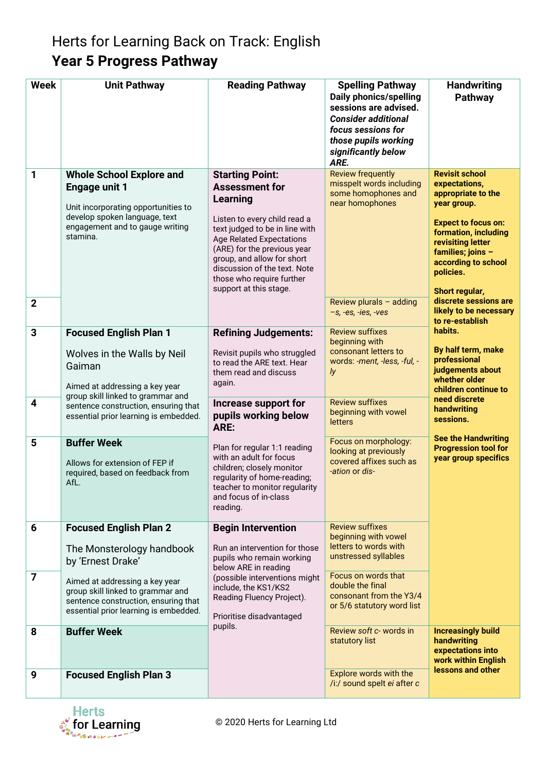## Herts for Learning Back on Track: English **Year 5 Progress Pathway**

| <b>Week</b>                  | <b>Unit Pathway</b>                                                                                                                                                                                                            | <b>Reading Pathway</b>                                                                                                                                                                                                                                                                                               | <b>Spelling Pathway</b><br><b>Daily phonics/spelling</b><br>sessions are advised.<br><b>Consider additional</b><br>focus sessions for<br>those pupils working<br>significantly below<br>ARE. | <b>Handwriting</b><br>Pathway                                                                                                                                                                                                                                                                                                                                                                                                                                      |
|------------------------------|--------------------------------------------------------------------------------------------------------------------------------------------------------------------------------------------------------------------------------|----------------------------------------------------------------------------------------------------------------------------------------------------------------------------------------------------------------------------------------------------------------------------------------------------------------------|----------------------------------------------------------------------------------------------------------------------------------------------------------------------------------------------|--------------------------------------------------------------------------------------------------------------------------------------------------------------------------------------------------------------------------------------------------------------------------------------------------------------------------------------------------------------------------------------------------------------------------------------------------------------------|
| 1<br>$\mathbf 2$             | <b>Whole School Explore and</b><br><b>Engage unit 1</b><br>Unit incorporating opportunities to<br>develop spoken language, text<br>engagement and to gauge writing<br>stamina.                                                 | <b>Starting Point:</b><br><b>Assessment for</b><br>Learning<br>Listen to every child read a<br>text judged to be in line with<br><b>Age Related Expectations</b><br>(ARE) for the previous year<br>group, and allow for short<br>discussion of the text. Note<br>those who require further<br>support at this stage. | <b>Review frequently</b><br>misspelt words including<br>some homophones and<br>near homophones<br>Review plurals $-$ adding<br>$-s$ , -es, -ies, -ves                                        | <b>Revisit school</b><br>expectations,<br>appropriate to the<br>year group.<br><b>Expect to focus on:</b><br>formation, including<br>revisiting letter<br>families; joins -<br>according to school<br>policies.<br>Short regular,<br>discrete sessions are<br>likely to be necessary<br>to re-establish<br>habits.<br>By half term, make<br>professional<br>judgements about<br>whether older<br>children continue to<br>need discrete<br>handwriting<br>sessions. |
| $\overline{\mathbf{3}}$<br>4 | <b>Focused English Plan 1</b><br>Wolves in the Walls by Neil<br>Gaiman<br>Aimed at addressing a key year<br>group skill linked to grammar and<br>sentence construction, ensuring that<br>essential prior learning is embedded. | <b>Refining Judgements:</b><br>Revisit pupils who struggled<br>to read the ARE text. Hear<br>them read and discuss<br>again.<br>Increase support for<br>pupils working below<br>ARE:                                                                                                                                 | <b>Review suffixes</b><br>beginning with<br>consonant letters to<br>words: -ment, -less, -ful, -<br>ly<br><b>Review suffixes</b><br>beginning with vowel<br>letters                          |                                                                                                                                                                                                                                                                                                                                                                                                                                                                    |
| 5                            | <b>Buffer Week</b><br>Allows for extension of FEP if<br>required, based on feedback from<br>AfL.                                                                                                                               | Plan for regular 1:1 reading<br>with an adult for focus<br>children; closely monitor<br>regularity of home-reading;<br>teacher to monitor regularity<br>and focus of in-class<br>reading.                                                                                                                            | Focus on morphology:<br>looking at previously<br>covered affixes such as<br>-ation or dis-                                                                                                   | <b>See the Handwriting</b><br><b>Progression tool for</b><br>year group specifics                                                                                                                                                                                                                                                                                                                                                                                  |
| 6                            | <b>Focused English Plan 2</b><br>The Monsterology handbook<br>by 'Ernest Drake'                                                                                                                                                | <b>Begin Intervention</b><br>Run an intervention for those<br>pupils who remain working<br>below ARE in reading<br>(possible interventions might<br>include, the KS1/KS2<br>Reading Fluency Project).<br>Prioritise disadvantaged                                                                                    | <b>Review suffixes</b><br>beginning with vowel<br>letters to words with<br>unstressed syllables                                                                                              |                                                                                                                                                                                                                                                                                                                                                                                                                                                                    |
| 7                            | Aimed at addressing a key year<br>group skill linked to grammar and<br>sentence construction, ensuring that<br>essential prior learning is embedded.                                                                           |                                                                                                                                                                                                                                                                                                                      | Focus on words that<br>double the final<br>consonant from the Y3/4<br>or 5/6 statutory word list                                                                                             |                                                                                                                                                                                                                                                                                                                                                                                                                                                                    |
| 8                            | <b>Buffer Week</b>                                                                                                                                                                                                             | pupils.                                                                                                                                                                                                                                                                                                              | Review soft c- words in<br>statutory list                                                                                                                                                    | <b>Increasingly build</b><br>handwriting<br>expectations into<br>work within English<br>lessons and other                                                                                                                                                                                                                                                                                                                                                          |
| 9                            | <b>Focused English Plan 3</b>                                                                                                                                                                                                  |                                                                                                                                                                                                                                                                                                                      | Explore words with the<br>/i:/ sound spelt ei after c                                                                                                                                        |                                                                                                                                                                                                                                                                                                                                                                                                                                                                    |

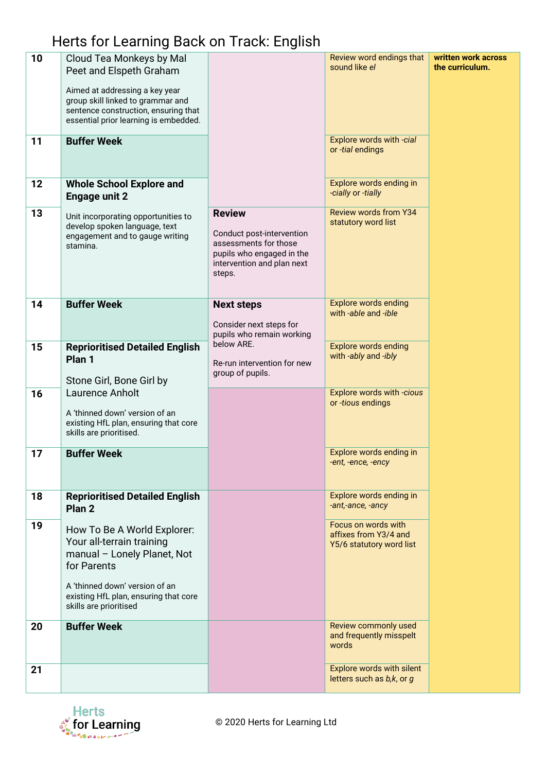## Herts for Learning Back on Track: English

| 10<br>11 | Cloud Tea Monkeys by Mal<br>Peet and Elspeth Graham<br>Aimed at addressing a key year<br>group skill linked to grammar and<br>sentence construction, ensuring that<br>essential prior learning is embedded.<br><b>Buffer Week</b> |                                                                                                                                          | Review word endings that<br>sound like el<br>Explore words with -cial    | written work across<br>the curriculum. |
|----------|-----------------------------------------------------------------------------------------------------------------------------------------------------------------------------------------------------------------------------------|------------------------------------------------------------------------------------------------------------------------------------------|--------------------------------------------------------------------------|----------------------------------------|
|          |                                                                                                                                                                                                                                   |                                                                                                                                          | or -tial endings                                                         |                                        |
| 12       | <b>Whole School Explore and</b><br><b>Engage unit 2</b>                                                                                                                                                                           |                                                                                                                                          | Explore words ending in<br>-cially or -tially                            |                                        |
| 13       | Unit incorporating opportunities to<br>develop spoken language, text<br>engagement and to gauge writing<br>stamina.                                                                                                               | <b>Review</b><br>Conduct post-intervention<br>assessments for those<br>pupils who engaged in the<br>intervention and plan next<br>steps. | <b>Review words from Y34</b><br>statutory word list                      |                                        |
| 14       | <b>Buffer Week</b>                                                                                                                                                                                                                | <b>Next steps</b><br>Consider next steps for<br>pupils who remain working                                                                | <b>Explore words ending</b><br>with -able and -ible                      |                                        |
| 15       | <b>Reprioritised Detailed English</b><br>Plan <sub>1</sub>                                                                                                                                                                        | below ARE.<br>Re-run intervention for new<br>group of pupils.                                                                            | <b>Explore words ending</b><br>with -ably and -ibly                      |                                        |
| 16       | Stone Girl, Bone Girl by<br>Laurence Anholt                                                                                                                                                                                       |                                                                                                                                          | Explore words with -cious<br>or -tious endings                           |                                        |
|          | A 'thinned down' version of an<br>existing HfL plan, ensuring that core<br>skills are prioritised.                                                                                                                                |                                                                                                                                          |                                                                          |                                        |
| 17       | <b>Buffer Week</b>                                                                                                                                                                                                                |                                                                                                                                          | Explore words ending in<br>-ent, -ence, -ency                            |                                        |
| 18       | <b>Reprioritised Detailed English</b><br>Plan <sub>2</sub>                                                                                                                                                                        |                                                                                                                                          | Explore words ending in<br>-ant,-ance, -ancy                             |                                        |
| 19       | How To Be A World Explorer:<br>Your all-terrain training<br>manual - Lonely Planet, Not<br>for Parents                                                                                                                            |                                                                                                                                          | Focus on words with<br>affixes from Y3/4 and<br>Y5/6 statutory word list |                                        |
|          | A 'thinned down' version of an<br>existing HfL plan, ensuring that core<br>skills are prioritised                                                                                                                                 |                                                                                                                                          |                                                                          |                                        |
| 20       | <b>Buffer Week</b>                                                                                                                                                                                                                |                                                                                                                                          | Review commonly used<br>and frequently misspelt<br>words                 |                                        |
| 21       |                                                                                                                                                                                                                                   |                                                                                                                                          | Explore words with silent<br>letters such as b,k, or g                   |                                        |



© 2020 Herts for Learning Ltd